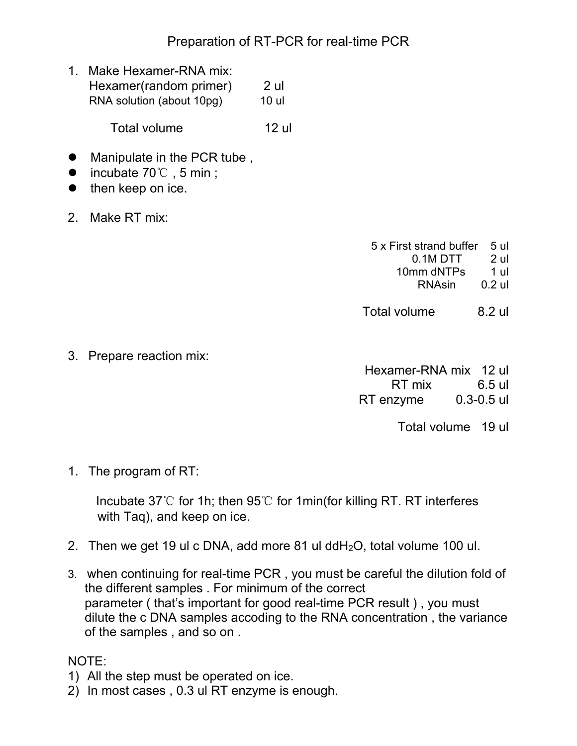## Preparation of RT-PCR for real-time PCR

1. Make Hexamer-RNA mix: Hexamer(random primer) 2 ul RNA solution (about 10pg) 10 ul

Total volume 12 ul

- Manipulate in the PCR tube,
- incubate 70°C, 5 min;
- $\bullet$  then keep on ice.
- 2. Make RT mix:

- 5 x First strand buffer 5 ul 0.1M DTT 2 ul 10mm dNTPs 1 ul RNAsin 0.2 ul
- Total volume 8.2 ul

3. Prepare reaction mix:

 Hexamer-RNA mix 12 ul RT mix 6.5 ul RT enzyme 0.3-0.5 ul

Total volume 19 ul

1. The program of RT:

Incubate 37℃ for 1h; then 95℃ for 1min(for killing RT. RT interferes with Taq), and keep on ice.

- 2. Then we get 19 ul c DNA, add more 81 ul ddH2O, total volume 100 ul.
- 3. when continuing for real-time PCR , you must be careful the dilution fold of the different samples . For minimum of the correct parameter ( that's important for good real-time PCR result ) , you must dilute the c DNA samples accoding to the RNA concentration , the variance of the samples , and so on .

NOTE:

- 1) All the step must be operated on ice.
- 2) In most cases , 0.3 ul RT enzyme is enough.